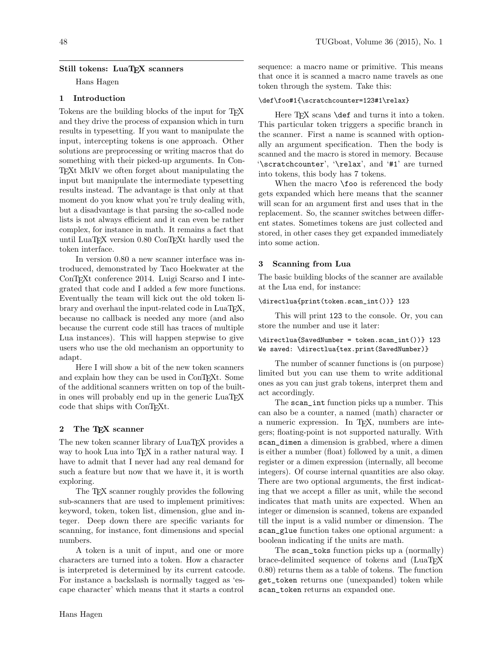# Still tokens: LuaT<sub>EX</sub> scanners

Hans Hagen

# 1 Introduction

Tokens are the building blocks of the input for TEX and they drive the process of expansion which in turn results in typesetting. If you want to manipulate the input, intercepting tokens is one approach. Other solutions are preprocessing or writing macros that do something with their picked-up arguments. In Con-TEXt MkIV we often forget about manipulating the input but manipulate the intermediate typesetting results instead. The advantage is that only at that moment do you know what you're truly dealing with, but a disadvantage is that parsing the so-called node lists is not always efficient and it can even be rather complex, for instance in math. It remains a fact that until LuaTEX version 0.80 ConTEXt hardly used the token interface.

In version 0.80 a new scanner interface was introduced, demonstrated by Taco Hoekwater at the ConTEXt conference 2014. Luigi Scarso and I integrated that code and I added a few more functions. Eventually the team will kick out the old token library and overhaul the input-related code in LuaTEX, because no callback is needed any more (and also because the current code still has traces of multiple Lua instances). This will happen stepwise to give users who use the old mechanism an opportunity to adapt.

Here I will show a bit of the new token scanners and explain how they can be used in ConTEXt. Some of the additional scanners written on top of the builtin ones will probably end up in the generic LuaT<sub>E</sub>X code that ships with ConTEXt.

## 2 The TEX scanner

The new token scanner library of LuaTEX provides a way to hook Lua into TFX in a rather natural way. I have to admit that I never had any real demand for such a feature but now that we have it, it is worth exploring.

The TEX scanner roughly provides the following sub-scanners that are used to implement primitives: keyword, token, token list, dimension, glue and integer. Deep down there are specific variants for scanning, for instance, font dimensions and special numbers.

A token is a unit of input, and one or more characters are turned into a token. How a character is interpreted is determined by its current catcode. For instance a backslash is normally tagged as 'escape character' which means that it starts a control

sequence: a macro name or primitive. This means that once it is scanned a macro name travels as one token through the system. Take this:

# \def\foo#1{\scratchcounter=123#1\relax}

Here TFX scans **\def** and turns it into a token. This particular token triggers a specific branch in the scanner. First a name is scanned with optionally an argument specification. Then the body is scanned and the macro is stored in memory. Because '\scratchcounter', '\relax', and '#1' are turned into tokens, this body has 7 tokens.

When the macro **\foo** is referenced the body gets expanded which here means that the scanner will scan for an argument first and uses that in the replacement. So, the scanner switches between different states. Sometimes tokens are just collected and stored, in other cases they get expanded immediately into some action.

#### 3 Scanning from Lua

The basic building blocks of the scanner are available at the Lua end, for instance:

#### \directlua{print(token.scan\_int())} 123

This will print 123 to the console. Or, you can store the number and use it later:

# \directlua{SavedNumber = token.scan\_int())} 123 We saved: \directlua{tex.print(SavedNumber)}

The number of scanner functions is (on purpose) limited but you can use them to write additional ones as you can just grab tokens, interpret them and act accordingly.

The scan\_int function picks up a number. This can also be a counter, a named (math) character or a numeric expression. In TEX, numbers are integers; floating-point is not supported naturally. With scan\_dimen a dimension is grabbed, where a dimen is either a number (float) followed by a unit, a dimen register or a dimen expression (internally, all become integers). Of course internal quantities are also okay. There are two optional arguments, the first indicating that we accept a filler as unit, while the second indicates that math units are expected. When an integer or dimension is scanned, tokens are expanded till the input is a valid number or dimension. The scan\_glue function takes one optional argument: a boolean indicating if the units are math.

The scan\_toks function picks up a (normally) brace-delimited sequence of tokens and (LuaT<sub>EX</sub> 0.80) returns them as a table of tokens. The function get\_token returns one (unexpanded) token while scan\_token returns an expanded one.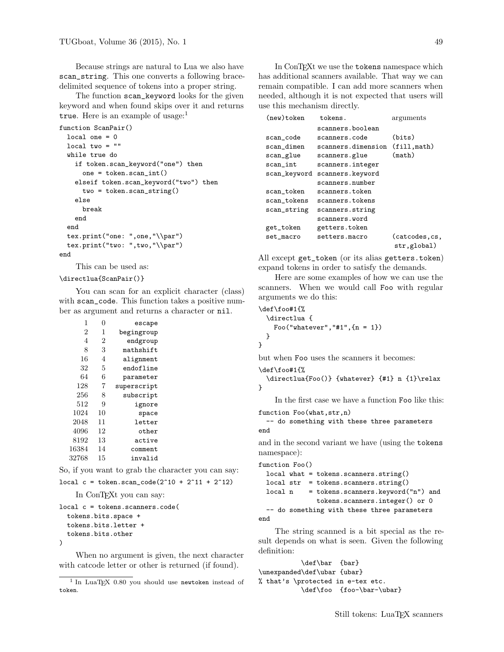Because strings are natural to Lua we also have scan\_string. This one converts a following bracedelimited sequence of tokens into a proper string.

The function scan\_keyword looks for the given keyword and when found skips over it and returns true. Here is an example of usage:<sup>1</sup>

```
function ScanPair()
 local one = 0
 local two = ""
 while true do
    if token.scan_keyword("one") then
      one = token.scan_int()
   elseif token.scan_keyword("two") then
      two = token.scan_string()
    else
      break
    end
  end
 tex.print("one: ",one,"\\par")
 tex.print("two: ",two,"\\par")
end
```
This can be used as:

\directlua{ScanPair()}

You can scan for an explicit character (class) with scan\_code. This function takes a positive number as argument and returns a character or nil.

| 1              | 0              | escape      |
|----------------|----------------|-------------|
| $\overline{2}$ | 1              | begingroup  |
| 4              | $\overline{2}$ | endgroup    |
| 8              | 3              | mathshift   |
| 16             | 4              | alignment   |
| 32             | 5              | endofline   |
| 64             | 6              | parameter   |
| 128            | $\overline{7}$ | superscript |
| 256            | 8              | subscript   |
| 512            | 9              | ignore      |
| 1024           | 10             | space       |
| 2048           | 11             | letter      |
| 4096           | 12             | other       |
| 8192           | 13             | active      |
| 16384          | 14             | comment     |
| 32768          | 15             | invalid     |
|                |                |             |

So, if you want to grab the character you can say:

```
local c = token.scan_code(2^10 + 2^11 + 2^12)
```
In ConT<sub>E</sub>Xt you can say:

```
local c = tokens.scanners.code(
  tokens.bits.space +
  tokens.bits.letter +
  tokens.bits.other
\lambda
```
When no argument is given, the next character with catcode letter or other is returned (if found).

In ConTEXt we use the tokens namespace which has additional scanners available. That way we can remain compatible. I can add more scanners when needed, although it is not expected that users will use this mechanism directly.

| $(new)$ token | tokens.            | arguments                     |  |
|---------------|--------------------|-------------------------------|--|
|               | scanners.boolean   |                               |  |
| scan_code     | scanners.code      | (bits)                        |  |
| scan_dimen    | scanners.dimension | (fill, math)                  |  |
| scan_glue     | scanners.glue      | (math)                        |  |
| scan_int      | scanners.integer   |                               |  |
| scan_keyword  | scanners.keyword   |                               |  |
|               | scanners.number    |                               |  |
| scan_token    | scanners.token     |                               |  |
| scan_tokens   | scanners.tokens    |                               |  |
| scan_string   | scanners.string    |                               |  |
|               | scanners.word      |                               |  |
| get_token     | getters.token      |                               |  |
| set_macro     | setters.macro      | (catcodes, cs,<br>str,global) |  |

All except get\_token (or its alias getters.token) expand tokens in order to satisfy the demands.

Here are some examples of how we can use the scanners. When we would call Foo with regular arguments we do this:

```
\def\foo#1{%
  \directlua {
    Foo("whatever", "#1", {n = 1})
  }
}
```
but when Foo uses the scanners it becomes:

\def\foo#1{%

}

```
\directlua{Foo()} {whatever} {#1} n {1}\relax
```
In the first case we have a function Foo like this:

```
function Foo(what,str,n)
```
-- do something with these three parameters end

and in the second variant we have (using the tokens namespace):

```
function Foo()
 local what = tokens.scanners.string()
 local str = tokens.scanners.string()
 local n = tokens.scamers.keyword("n") andtokens.scanners.integer() or 0
 -- do something with these three parameters
end
```
The string scanned is a bit special as the result depends on what is seen. Given the following definition:

\def\bar {bar} \unexpanded\def\ubar {ubar} % that's \protected in e-tex etc. \def\foo {foo-\bar-\ubar}

<sup>&</sup>lt;sup>1</sup> In LuaTEX 0.80 you should use newtoken instead of token.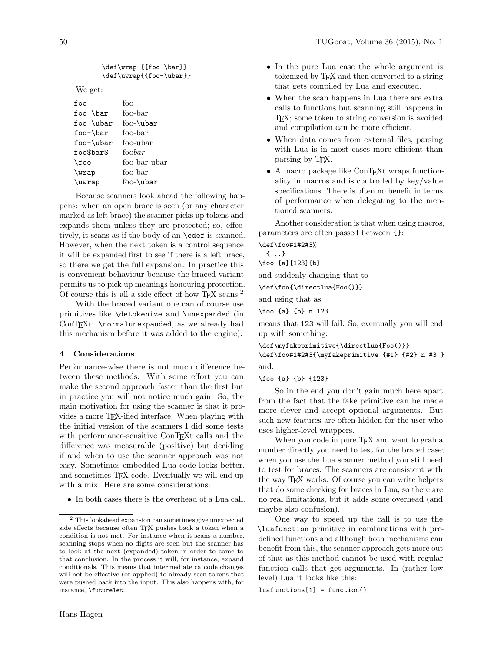```
\def\wrap {{foo-\bar}}
\def\uwrap{{foo-\ubar}}
```
We get:

| foo          |
|--------------|
| foo-bar      |
| foo-\ubar    |
| foo-bar      |
| foo-ubar     |
| foobar       |
| foo-bar-ubar |
| foo-bar      |
| foo-\ubar    |
|              |

Because scanners look ahead the following happens: when an open brace is seen (or any character marked as left brace) the scanner picks up tokens and expands them unless they are protected; so, effectively, it scans as if the body of an \edef is scanned. However, when the next token is a control sequence it will be expanded first to see if there is a left brace, so there we get the full expansion. In practice this is convenient behaviour because the braced variant permits us to pick up meanings honouring protection. Of course this is all a side effect of how T<sub>E</sub>X scans.<sup>2</sup>

With the braced variant one can of course use primitives like \detokenize and \unexpanded (in ConTEXt: \normalunexpanded, as we already had this mechanism before it was added to the engine).

#### 4 Considerations

Performance-wise there is not much difference between these methods. With some effort you can make the second approach faster than the first but in practice you will not notice much gain. So, the main motivation for using the scanner is that it provides a more TEX-ified interface. When playing with the initial version of the scanners I did some tests with performance-sensitive ConT<sub>EXt</sub> calls and the difference was measurable (positive) but deciding if and when to use the scanner approach was not easy. Sometimes embedded Lua code looks better, and sometimes T<sub>F</sub>X code. Eventually we will end up with a mix. Here are some considerations:

• In both cases there is the overhead of a Lua call.

- In the pure Lua case the whole argument is tokenized by TEX and then converted to a string that gets compiled by Lua and executed.
- When the scan happens in Lua there are extra calls to functions but scanning still happens in TEX; some token to string conversion is avoided and compilation can be more efficient.
- When data comes from external files, parsing with Lua is in most cases more efficient than parsing by T<sub>E</sub>X.
- A macro package like ConTFXt wraps functionality in macros and is controlled by key/value specifications. There is often no benefit in terms of performance when delegating to the mentioned scanners.

Another consideration is that when using macros, parameters are often passed between {}:

\def\foo#1#2#3% {...} \foo {a}{123}{b} and suddenly changing that to \def\foo{\directlua{Foo()}}

and using that as:

\foo {a} {b} n 123

means that 123 will fail. So, eventually you will end up with something:

\def\myfakeprimitive{\directlua{Foo()}} \def\foo#1#2#3{\myfakeprimitive {#1} {#2} n #3 } and:

\foo {a} {b} {123}

So in the end you don't gain much here apart from the fact that the fake primitive can be made more clever and accept optional arguments. But such new features are often hidden for the user who uses higher-level wrappers.

When you code in pure T<sub>EX</sub> and want to grab a number directly you need to test for the braced case; when you use the Lua scanner method you still need to test for braces. The scanners are consistent with the way TEX works. Of course you can write helpers that do some checking for braces in Lua, so there are no real limitations, but it adds some overhead (and maybe also confusion).

One way to speed up the call is to use the \luafunction primitive in combinations with predefined functions and although both mechanisms can benefit from this, the scanner approach gets more out of that as this method cannot be used with regular function calls that get arguments. In (rather low level) Lua it looks like this:

 $luation([1] = function()$ 

<sup>2</sup> This lookahead expansion can sometimes give unexpected side effects because often TEX pushes back a token when a condition is not met. For instance when it scans a number, scanning stops when no digits are seen but the scanner has to look at the next (expanded) token in order to come to that conclusion. In the process it will, for instance, expand conditionals. This means that intermediate catcode changes will not be effective (or applied) to already-seen tokens that were pushed back into the input. This also happens with, for instance, \futurelet.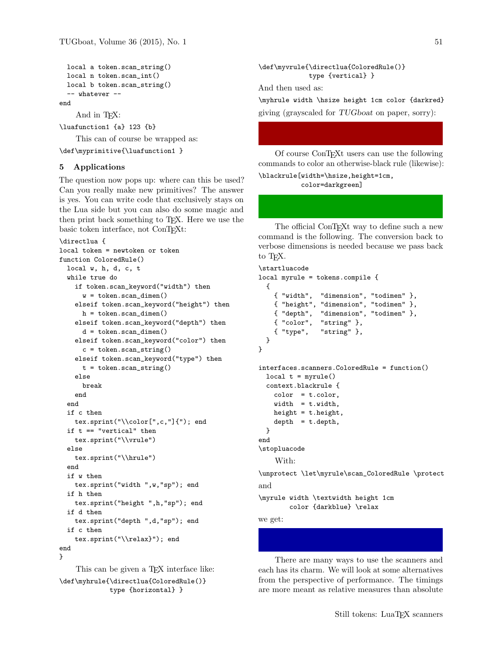```
local a token.scan_string()
local n token.scan_int()
local b token.scan_string()
-- whatever --
```
end

And in T<sub>F</sub>X:

\luafunction1 {a} 123 {b}

This can of course be wrapped as:

\def\myprimitive{\luafunction1 }

#### 5 Applications

The question now pops up: where can this be used? Can you really make new primitives? The answer is yes. You can write code that exclusively stays on the Lua side but you can also do some magic and then print back something to TEX. Here we use the basic token interface, not ConTEXt:

```
\directlua {
local token = newtoken or token
function ColoredRule()
 local w, h, d, c, t
 while true do
    if token.scan_keyword("width") then
      w = token.scan_dimen()
    elseif token.scan_keyword("height") then
     h = token.scan_dimen()
    elseif token.scan_keyword("depth") then
     d = token.scan_dimen()
    elseif token.scan_keyword("color") then
      c = token.scan_string()
    elseif token.scan_keyword("type") then
     t = token.scan_string()else
      break
    end
  end
  if c then
    tex.sprint("\\color[",c,"]{"); end
  if t == "vertical" then
   tex.sprint("\\vrule")
  else
    tex.sprint("\\hrule")
  end
  if w then
    tex.sprint("width ",w,"sp"); end
  if h then
    tex.sprint("height ",h,"sp"); end
  if d then
    tex.sprint("depth ",d,"sp"); end
 if c then
    tex.sprint("\\relax}"); end
end
}
```
This can be given a T<sub>EX</sub> interface like: \def\myhrule{\directlua{ColoredRule()} type {horizontal} }

```
\def\myvrule{\directlua{ColoredRule()}
             type {vertical} }
And then used as:
\myhrule width \hsize height 1cm color {darkred}
giving (grayscaled for TUGboat on paper, sorry):
```
Of course ConTEXt users can use the following commands to color an otherwise-black rule (likewise): \blackrule[width=\hsize,height=1cm,

```
color=darkgreen]
```
The official ConTEXt way to define such a new command is the following. The conversion back to verbose dimensions is needed because we pass back to TEX.

```
\startluacode
local myrule = tokens.compile {
  {
   { "width", "dimension", "todimen" },
    { "height", "dimension", "todimen" },
   { "depth", "dimension", "todimen" },
   { "color", "string" },
    { "type", "string" },
 }
}
interfaces.scanners.ColoredRule = function()
 local t = myrule()context.blackrule {
    color = t.color,
    width = t.width,
   height = t.height,
   depth = t.depth,}
end
\stopluacode
    With:
\unprotect \let\myrule\scan_ColoredRule \protect
and
\myrule width \textwidth height 1cm
        color {darkblue} \relax
```
we get:

There are many ways to use the scanners and each has its charm. We will look at some alternatives from the perspective of performance. The timings are more meant as relative measures than absolute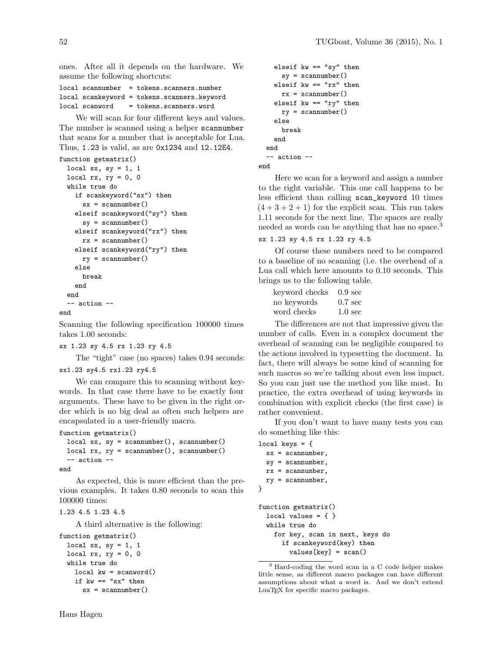ones. After all it depends on the hardware. We assume the following shortcuts:

|  | local scannumber = tokens.scanners.number   |
|--|---------------------------------------------|
|  | local scankeyword = tokens.scanners.keyword |
|  | local scanword = tokens.scanners.word       |

We will scan for four different keys and values. The number is scanned using a helper scannumber that scans for a number that is acceptable for Lua. Thus, 1.23 is valid, as are 0x1234 and 12.12E4.

```
function getmatrix()
 local sx, sy = 1, 1local rx, ry = 0, 0
 while true do
    if scankeyword("sx") then
      sx = scannumber()elseif scankeyword("sy") then
      sy = scannumber()
   elseif scankeyword("rx") then
      rx = scannumber()
    elseif scankeyword("ry") then
     ry = scannumber()
    else
      break
    end
  end
  -- action --
```
end

Scanning the following specification 100000 times takes 1.00 seconds:

```
sx 1.23 sy 4.5 rx 1.23 ry 4.5
```
The "tight" case (no spaces) takes 0.94 seconds: sx1.23 sy4.5 rx1.23 ry4.5

We can compare this to scanning without keywords. In that case there have to be exactly four arguments. These have to be given in the right order which is no big deal as often such helpers are encapsulated in a user-friendly macro.

```
function getmatrix()
 local sx, sy = scannumber(), scannumber()
 local rx, ry = scannumber(), scannumber()
  -- action --
```
end

As expected, this is more efficient than the previous examples. It takes 0.80 seconds to scan this 100000 times:

```
1.23 4.5 1.23 4.5
```
A third alternative is the following:

```
function getmatrix()
 local sx, sy = 1, 1
 local rx, ry = 0, 0
 while true do
    local kw = scanword()if kw == "sx" then
      sx = scannumber()
```

```
elseif kw == "sy" then
      sy = scannumber()
    elseif kw == "rx" then
     rx = scannumber()elseif kw == "ry" then
     ry = scannumber()
    else
     break
    end
  end
  -- action --
end
```
Here we scan for a keyword and assign a number to the right variable. This one call happens to be less efficient than calling scan\_keyword 10 times  $(4 + 3 + 2 + 1)$  for the explicit scan. This run takes 1.11 seconds for the next line. The spaces are really needed as words can be anything that has no space.<sup>3</sup>

## sx 1.23 sy 4.5 rx 1.23 ry 4.5

Of course these numbers need to be compared to a baseline of no scanning (i.e. the overhead of a Lua call which here amounts to 0.10 seconds. This brings us to the following table.

| keyword checks | $0.9 \text{ sec}$ |
|----------------|-------------------|
| no keywords    | $0.7 \text{ sec}$ |
| word checks    | $1.0 \text{ sec}$ |

The differences are not that impressive given the number of calls. Even in a complex document the overhead of scanning can be negligible compared to the actions involved in typesetting the document. In fact, there will always be some kind of scanning for such macros so we're talking about even less impact. So you can just use the method you like most. In practice, the extra overhead of using keywords in combination with explicit checks (the first case) is rather convenient.

If you don't want to have many tests you can do something like this:

```
local keys = \{sx = scannumber,
  sy = scannumber,
  rx = scannumber,
  ry = scannumber,
}
function getmatrix()
  local values = \{ \}while true do
    for key, scan in next, keys do
      if scankeyword(key) then
        values[key] = scan()
```
<sup>3</sup> Hard-coding the word scan in a C code helper makes little sense, as different macro packages can have different assumptions about what a word is. And we don't extend LuaTEX for specific macro packages.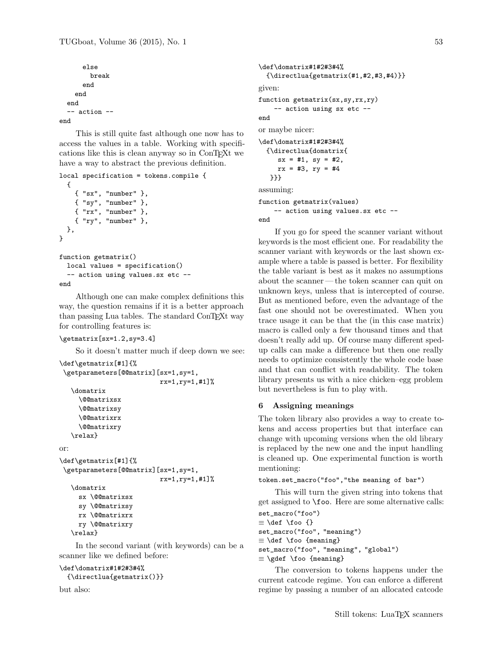```
else
        break
      end
    end
  end
  -- action --
end
```
This is still quite fast although one now has to access the values in a table. Working with specifications like this is clean anyway so in ConTEXt we have a way to abstract the previous definition.

```
local specification = tokens.compile {
  {
    { "sx", "number" },
    { "sy", "number" },
    { "rx", "number" },
    { "ry", "number" },
 },
}
function getmatrix()
 local values = specification()
  -- action using values.sx etc --
```
#### end

Although one can make complex definitions this way, the question remains if it is a better approach than passing Lua tables. The standard ConTEXt way for controlling features is:

```
\getmatrix[sx=1.2,sy=3.4]
```
So it doesn't matter much if deep down we see:

```
\def\getmatrix[#1]{%
 \getparameters[@@matrix][sx=1,sy=1,
                          rx=1,ry=1,#1]%
   \domatrix
     \@@matrixsx
     \@@matrixsy
     \@@matrixrx
     \@@matrixry
   \relax}
or:
\def\getmatrix[#1]{%
\getparameters[@@matrix][sx=1,sy=1,
                          rx=1,ry=1,#1]%
   \domatrix
     sx \@@matrixsx
     sy \@@matrixsy
     rx \@@matrixrx
     ry \@@matrixry
```

```
\relax}
```
In the second variant (with keywords) can be a scanner like we defined before:

#### \def\domatrix#1#2#3#4%

```
{\directlua{getmatrix()}}
```
but also:

```
\def\domatrix#1#2#3#4%
  {\dim{getmatrix(H1,H2,H3,H4)}}given:
function getmatrix(sx,sy,rx,ry)
    -- action using sx etc --
end
or maybe nicer:
\def\domatrix#1#2#3#4%
  {\directlua{domatrix{
     sx = #1, sy = #2,rx = #3, ry = #4}}}
assuming:
function getmatrix(values)
    -- action using values.sx etc --
end
```
If you go for speed the scanner variant without keywords is the most efficient one. For readability the scanner variant with keywords or the last shown example where a table is passed is better. For flexibility the table variant is best as it makes no assumptions about the scanner— the token scanner can quit on unknown keys, unless that is intercepted of course. But as mentioned before, even the advantage of the fast one should not be overestimated. When you trace usage it can be that the (in this case matrix) macro is called only a few thousand times and that doesn't really add up. Of course many different spedup calls can make a difference but then one really needs to optimize consistently the whole code base and that can conflict with readability. The token library presents us with a nice chicken–egg problem but nevertheless is fun to play with.

# 6 Assigning meanings

The token library also provides a way to create tokens and access properties but that interface can change with upcoming versions when the old library is replaced by the new one and the input handling is cleaned up. One experimental function is worth mentioning:

```
token.set_macro("foo","the meaning of bar")
```
This will turn the given string into tokens that get assigned to \foo. Here are some alternative calls: set\_macro("foo")

```
≡ \def \foo {}
set_macro("foo", "meaning")
≡ \def \foo {meaning}
set_macro("foo", "meaning", "global")
≡ \gdef \foo {meaning}
```
The conversion to tokens happens under the current catcode regime. You can enforce a different regime by passing a number of an allocated catcode